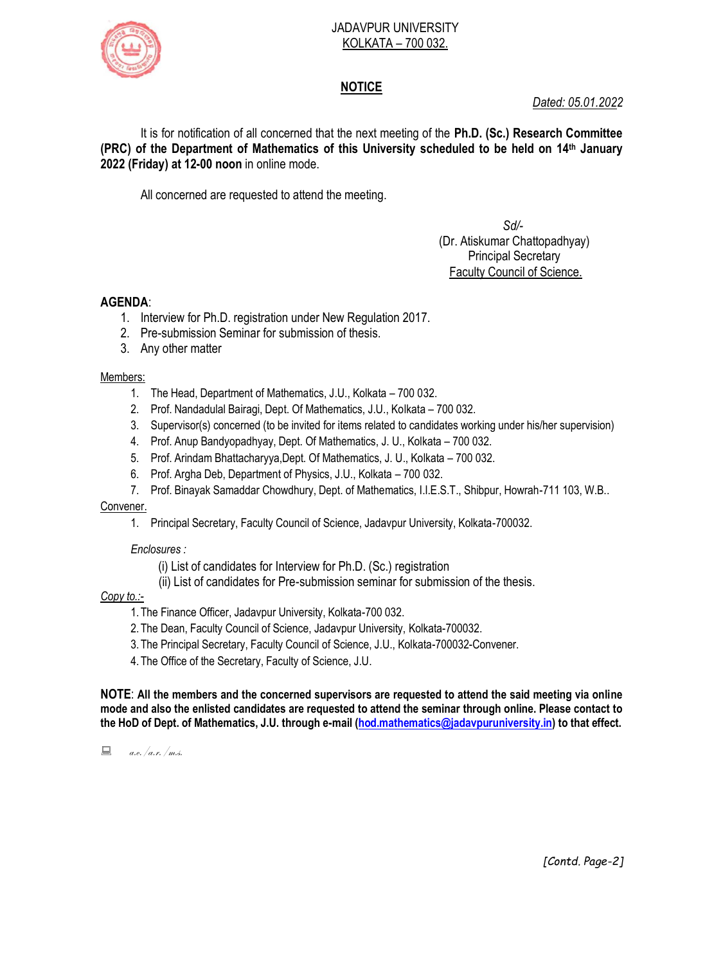#### JADAVPUR UNIVERSITY KOLKATA – 700 032.



# **NOTICE**

*Dated: 05.01.2022*

It is for notification of all concerned that the next meeting of the **Ph.D. (Sc.) Research Committee (PRC) of the Department of Mathematics of this University scheduled to be held on 14th January 2022 (Friday) at 12-00 noon** in online mode.

All concerned are requested to attend the meeting.

# *Sd/-*  (Dr. Atiskumar Chattopadhyay) Principal Secretary Faculty Council of Science.

### **AGENDA**:

- 1. Interview for Ph.D. registration under New Regulation 2017.
- 2. Pre-submission Seminar for submission of thesis.
- 3. Any other matter

### Members:

- 1. The Head, Department of Mathematics, J.U., Kolkata 700 032.
- 2. Prof. Nandadulal Bairagi, Dept. Of Mathematics, J.U., Kolkata 700 032.
- 3. Supervisor(s) concerned (to be invited for items related to candidates working under his/her supervision)
- 4. Prof. Anup Bandyopadhyay, Dept. Of Mathematics, J. U., Kolkata 700 032.
- 5. Prof. Arindam Bhattacharyya,Dept. Of Mathematics, J. U., Kolkata 700 032.
- 6. Prof. Argha Deb, Department of Physics, J.U., Kolkata 700 032.
- 7. Prof. Binayak Samaddar Chowdhury, Dept. of Mathematics, I.I.E.S.T., Shibpur, Howrah-711 103, W.B..

### Convener.

1. Principal Secretary, Faculty Council of Science, Jadavpur University, Kolkata-700032.

### *Enclosures :*

- (i) List of candidates for Interview for Ph.D. (Sc.) registration
- (ii) List of candidates for Pre-submission seminar for submission of the thesis.

### *Copy to.:-*

- 1.The Finance Officer, Jadavpur University, Kolkata-700 032.
- 2.The Dean, Faculty Council of Science, Jadavpur University, Kolkata-700032.
- 3.The Principal Secretary, Faculty Council of Science, J.U., Kolkata-700032-Convener.
- 4.The Office of the Secretary, Faculty of Science, J.U.

**NOTE**: **All the members and the concerned supervisors are requested to attend the said meeting via online mode and also the enlisted candidates are requested to attend the seminar through online. Please contact to the HoD of Dept. of Mathematics, J.U. through e-mail [\(hod.mathematics@jadavpuruniversity.in\)](mailto:hod.mathematics@jadavpuruniversity.in) to that effect.**

 $a.e. /a.r. /m.s.$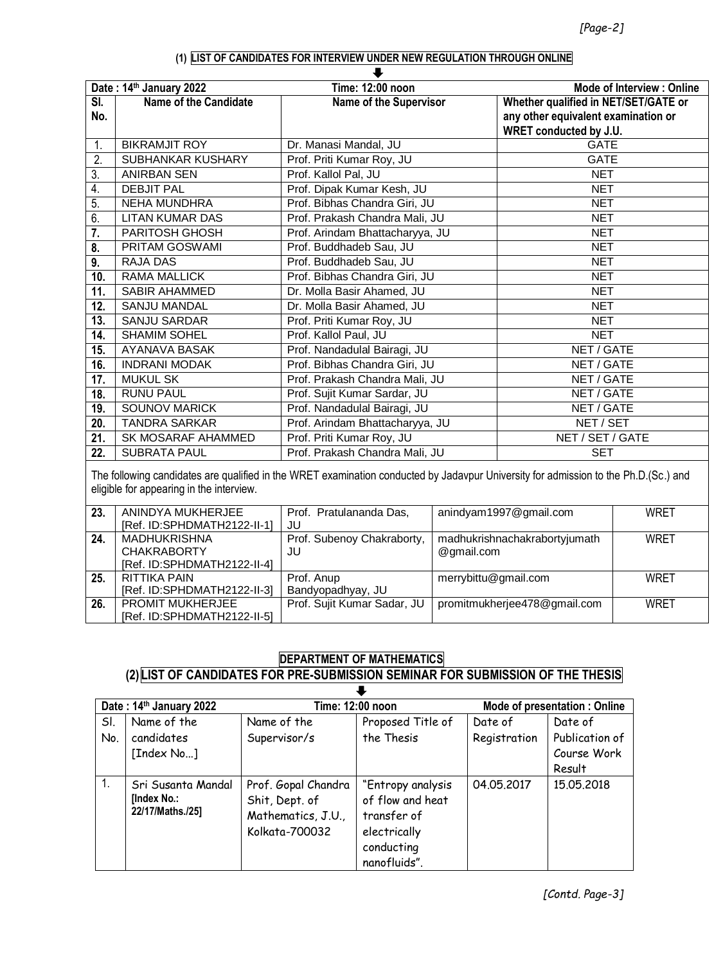#### **(1) LIST OF CANDIDATES FOR INTERVIEW UNDER NEW REGULATION THROUGH ONLINE**

| Time: 12:00 noon<br><b>Mode of Interview: Online</b><br>Date: 14th January 2022 |                        |                                 |                                                                                                       |  |
|---------------------------------------------------------------------------------|------------------------|---------------------------------|-------------------------------------------------------------------------------------------------------|--|
| SI.<br>No.                                                                      | Name of the Candidate  | <b>Name of the Supervisor</b>   | Whether qualified in NET/SET/GATE or<br>any other equivalent examination or<br>WRET conducted by J.U. |  |
| 1.                                                                              | <b>BIKRAMJIT ROY</b>   | Dr. Manasi Mandal, JU           | <b>GATE</b>                                                                                           |  |
| 2.                                                                              | SUBHANKAR KUSHARY      | Prof. Priti Kumar Roy, JU       | <b>GATE</b>                                                                                           |  |
| 3.                                                                              | <b>ANIRBAN SEN</b>     | Prof. Kallol Pal, JU            | <b>NET</b>                                                                                            |  |
| 4.                                                                              | <b>DEBJIT PAL</b>      | Prof. Dipak Kumar Kesh, JU      | <b>NET</b>                                                                                            |  |
| 5.                                                                              | <b>NEHA MUNDHRA</b>    | Prof. Bibhas Chandra Giri, JU   | <b>NET</b>                                                                                            |  |
| 6.                                                                              | <b>LITAN KUMAR DAS</b> | Prof. Prakash Chandra Mali, JU  | <b>NET</b>                                                                                            |  |
| 7.                                                                              | PARITOSH GHOSH         | Prof. Arindam Bhattacharyya, JU | <b>NET</b>                                                                                            |  |
| 8.                                                                              | PRITAM GOSWAMI         | Prof. Buddhadeb Sau, JU         | <b>NET</b>                                                                                            |  |
| 9.                                                                              | <b>RAJA DAS</b>        | Prof. Buddhadeb Sau, JU         | <b>NET</b>                                                                                            |  |
| 10.                                                                             | <b>RAMA MALLICK</b>    | Prof. Bibhas Chandra Giri, JU   | <b>NET</b>                                                                                            |  |
| 11.                                                                             | <b>SABIR AHAMMED</b>   | Dr. Molla Basir Ahamed, JU      | <b>NET</b>                                                                                            |  |
| 12.                                                                             | <b>SANJU MANDAL</b>    | Dr. Molla Basir Ahamed, JU      | <b>NET</b>                                                                                            |  |
| 13.                                                                             | <b>SANJU SARDAR</b>    | Prof. Priti Kumar Roy, JU       | <b>NET</b>                                                                                            |  |
| 14.                                                                             | <b>SHAMIM SOHEL</b>    | Prof. Kallol Paul, JU           | <b>NET</b>                                                                                            |  |
| 15.                                                                             | <b>AYANAVA BASAK</b>   | Prof. Nandadulal Bairagi, JU    | NET / GATE                                                                                            |  |
| 16.                                                                             | <b>INDRANI MODAK</b>   | Prof. Bibhas Chandra Giri, JU   | NET / GATE                                                                                            |  |
| 17.                                                                             | <b>MUKUL SK</b>        | Prof. Prakash Chandra Mali, JU  | NET / GATE                                                                                            |  |
| 18.                                                                             | <b>RUNU PAUL</b>       | Prof. Sujit Kumar Sardar, JU    | NET / GATE                                                                                            |  |
| 19.                                                                             | <b>SOUNOV MARICK</b>   | Prof. Nandadulal Bairagi, JU    | NET / GATE                                                                                            |  |
| 20.                                                                             | <b>TANDRA SARKAR</b>   | Prof. Arindam Bhattacharyya, JU | NET / SET                                                                                             |  |
| 21.                                                                             | SK MOSARAF AHAMMED     | Prof. Priti Kumar Roy, JU       | NET / SET / GATE                                                                                      |  |
| 22.                                                                             | <b>SUBRATA PAUL</b>    | Prof. Prakash Chandra Mali, JU  | <b>SET</b>                                                                                            |  |

The following candidates are qualified in the WRET examination conducted by Jadavpur University for admission to the Ph.D.(Sc.) and eligible for appearing in the interview.

| 23. | ANINDYA MUKHERJEE           | Prof. Pratulananda Das,     | anindyam1997@gmail.com        | WRET |
|-----|-----------------------------|-----------------------------|-------------------------------|------|
|     |                             |                             |                               |      |
|     | [Ref. ID:SPHDMATH2122-II-1] | JU                          |                               |      |
| 24. | <b>MADHUKRISHNA</b>         | Prof. Subenoy Chakraborty,  | madhukrishnachakrabortyjumath | WRET |
|     | <b>CHAKRABORTY</b>          | JU                          | @gmail.com                    |      |
|     | [Ref. ID:SPHDMATH2122-II-4] |                             |                               |      |
| 25. | RITTIKA PAIN                | Prof. Anup                  | merrybittu@gmail.com          | WRET |
|     | [Ref. ID:SPHDMATH2122-II-3] | Bandyopadhyay, JU           |                               |      |
| 26. | <b>PROMIT MUKHERJEE</b>     | Prof. Sujit Kumar Sadar, JU | promitmukherjee478@gmail.com  | WRET |
|     | [Ref. ID:SPHDMATH2122-II-5] |                             |                               |      |

# **DEPARTMENT OF MATHEMATICS**

#### **(2) LIST OF CANDIDATES FOR PRE-SUBMISSION SEMINAR FOR SUBMISSION OF THE THESIS**  $\overline{\phantom{a}}$

| Date: 14th January 2022 |                                                       | Time: 12:00 noon                                                              |                                                                                                    | <b>Mode of presentation: Online</b> |                                                    |
|-------------------------|-------------------------------------------------------|-------------------------------------------------------------------------------|----------------------------------------------------------------------------------------------------|-------------------------------------|----------------------------------------------------|
| SI.<br>No.              | Name of the<br>candidates<br>[Index No]               | Name of the<br>Supervisor/s                                                   | Proposed Title of<br>the Thesis                                                                    | Date of<br>Registration             | Date of<br>Publication of<br>Course Work<br>Result |
| 1.                      | Sri Susanta Mandal<br>[Index No.:<br>22/17/Maths./25] | Prof. Gopal Chandra<br>Shit, Dept. of<br>Mathematics, J.U.,<br>Kolkata-700032 | "Entropy analysis<br>of flow and heat<br>transfer of<br>electrically<br>conducting<br>nanofluids". | 04.05.2017                          | 15.05.2018                                         |